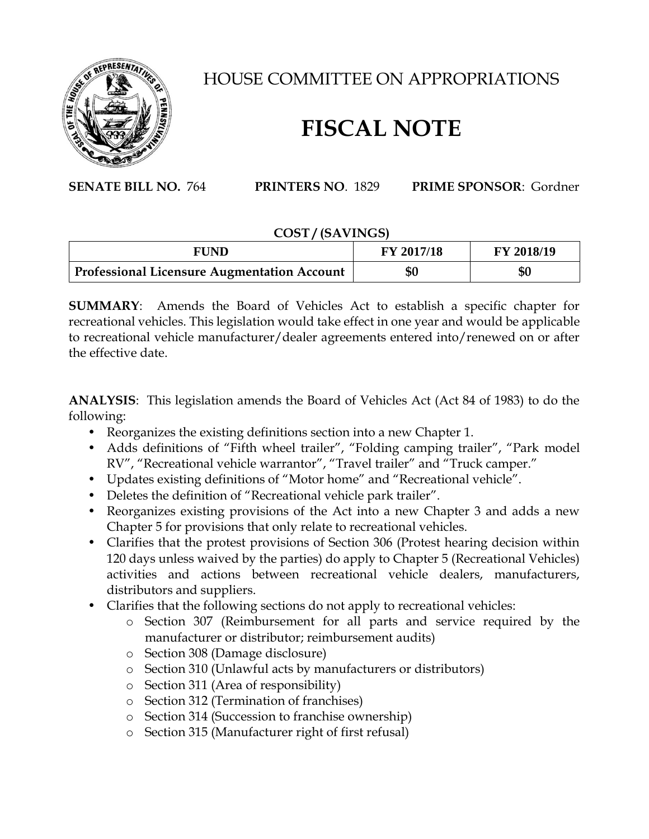

## HOUSE COMMITTEE ON APPROPRIATIONS

## **FISCAL NOTE**

**SENATE BILL NO.** 764 **PRINTERS NO**. 1829 **PRIME SPONSOR**: Gordner

## **COST / (SAVINGS)**

| <b>FUND</b>                                        | FY 2017/18 | FY 2018/19 |
|----------------------------------------------------|------------|------------|
| <b>Professional Licensure Augmentation Account</b> | \$0        | \$0        |

**SUMMARY**: Amends the Board of Vehicles Act to establish a specific chapter for recreational vehicles. This legislation would take effect in one year and would be applicable to recreational vehicle manufacturer/dealer agreements entered into/renewed on or after the effective date.

**ANALYSIS**: This legislation amends the Board of Vehicles Act (Act 84 of 1983) to do the following:

- Reorganizes the existing definitions section into a new Chapter 1.
- Adds definitions of "Fifth wheel trailer", "Folding camping trailer", "Park model RV", "Recreational vehicle warrantor", "Travel trailer" and "Truck camper."
- Updates existing definitions of "Motor home" and "Recreational vehicle".
- Deletes the definition of "Recreational vehicle park trailer".
- Reorganizes existing provisions of the Act into a new Chapter 3 and adds a new Chapter 5 for provisions that only relate to recreational vehicles.
- Clarifies that the protest provisions of Section 306 (Protest hearing decision within 120 days unless waived by the parties) do apply to Chapter 5 (Recreational Vehicles) activities and actions between recreational vehicle dealers, manufacturers, distributors and suppliers.
- Clarifies that the following sections do not apply to recreational vehicles:
	- o Section 307 (Reimbursement for all parts and service required by the manufacturer or distributor; reimbursement audits)
	- o Section 308 (Damage disclosure)
	- o Section 310 (Unlawful acts by manufacturers or distributors)
	- o Section 311 (Area of responsibility)
	- o Section 312 (Termination of franchises)
	- o Section 314 (Succession to franchise ownership)
	- o Section 315 (Manufacturer right of first refusal)